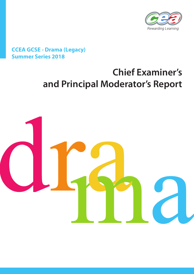

## **CCEA GCSE - Drama (Legacy) Summer Series 2018**

# **Chief Examiner's and Principal Moderator's Report**

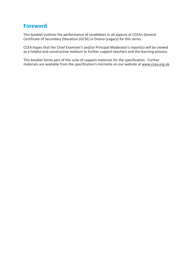## **Foreword**

This booklet outlines the performance of candidates in all aspects of CCEA's General Certificate of Secondary Education (GCSE) in Drama (Legacy) for this series.

CCEA hopes that the Chief Examiner's and/or Principal Moderator's report(s) will be viewed as a helpful and constructive medium to further support teachers and the learning process.

This booklet forms part of the suite of support materials for the specification. Further materials are available from the specification's microsite on our website at www.ccea.org.uk.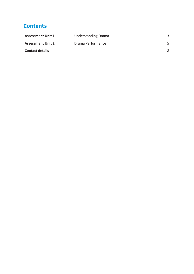## **Contents**

| <b>Assessment Unit 1</b> | <b>Understanding Drama</b> |  |
|--------------------------|----------------------------|--|
| <b>Assessment Unit 2</b> | Drama Performance          |  |
| <b>Contact details</b>   |                            |  |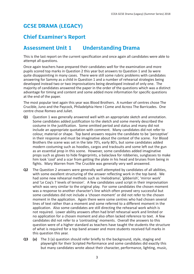## **GCSE DRAMA (LEGACY)**

## **Chief Examiner's Report**

### **Assessment Unit 1 Understanding Drama**

This is the last report on the current specification and once again all candidates were able to attempt all questions.

Once again teachers have prepared their candidates well for the examination and more pupils scored top marks in Question 2 this year but answers to Question 1 and 3a were quite disappointing in many cases. There were still some rubric problems with candidates answering for Sammy as a child in Question 1 and a number of rehearsal strategies being developed instead two or two improvisations being developed instead of only one. The majority of candidates answered the paper in the order of the questions which was a distinct advantage for timing and content and some added more information for specific questions at the end of the paper.

The most popular text again this year was Blood Brothers. A number of centres chose The Crucible, Juno and the Paycock, Philadelphia Here I Come and Across The Barricades. One centre chose Romeo and Juliet.

- **Q1** Question 1 was generally answered well with an appropriate sketch and annotation. Some candidates added justification to the sketch and some merely described the costume in the justification. Some omitted period and status and many did not include an appropriate quotation with comment. Many candidates did not refer to colour, material or shape. Top band answers require the candidate to be 'perceptive' in their response and must be imaginative about the context of the scene. For Blood Brothers the scene was set in the late 70's, early 80's, but some candidates added modern costuming such as hoodies, cargos and tracksuits and some left out the gun as an essential prop in this scene. However, some candidates added imaginative props such as gloves to hide fingerprints, a balaclava for robberies, sunglasses to make him look 'cool' and a scar from getting the plate in his head and bruises from being in fights. Mary Warren from The Crucible was generally very well answered.
- **Q2** The Question 2 answers were generally well attempted by candidates of all abilities, with some excellent structuring of the answer reflecting work in the top band. We had some new rehearsal methods such as 'melodrama', 'gibberish', 'mirror work' and 'Le Coq's 7 levels of tension'. A few candidates used script in their improvisation which was very similar to the original play. For some candidates the chosen moment was a response to another character's line which often proved very successful but some candidates did not include a 'chosen moment' or did not refer to the chosen moment in the application. Again there were some centres who had chosen several lines of text rather than a moment and some referred to a different moment in the application. Also some candidates are still directing the rehearsal work which is not required. Lower ability answers often had brief rehearsal work and limited or no application for a chosen moment and also often lacked reference to text. A few candidates did not refer to a 'contrasting' moments. Overall the answers to this question were of a higher standard as teachers have taught the students the structure of what is required for a top band answer and more students received full marks in this question this year.
- **Q3 (a)** The 3 (a) question should refer briefly to the background, style, staging and playwright for their Scripted Performance and some candidates did exactly this but many candidates wrote about their character, performance, lighting, music,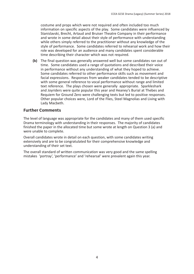costume and props which were not required and often included too much information on specific aspects of the play. Some candidates were influenced by Stanislavski, Brecht, Artaud and Bruiser Theatre Company in their performance and wrote in some detail about their style of performance with understanding while others simply referred to the practitioner without any knowledge of the style of performance. Some candidates referred to rehearsal work and how their role was developed for an audience and many candidates spent considerable time describing their character which was not required.

**(b)** The final question was generally answered well but some candidates ran out of time. Some candidates used a range of quotations and described their voice in performance without any understanding of what they hoped to achieve. Some candidates referred to other performance skills such as movement and facial expressions. Responses from weaker candidates tended to be descriptive with some general reference to vocal performance without range and limited text reference. The plays chosen were generally appropriate. Sparkleshark and Joyriders were quite popular this year and Heaney's Burial at Thebes and Requiem for Ground Zero were challenging texts but led to positive responses. Other popular choices were, Lord of the Flies, Steel Magnolias and Living with Lady Macbeth.

#### **Further Comments**

The level of language was appropriate for the candidates and many of them used specific Drama terminology with understanding in their responses. The majority of candidates finished the paper in the allocated time but some wrote at length on Question 3 (a) and were unable to complete.

Overall candidates wrote in detail on each question, with some candidates writing extensively and are to be congratulated for their comprehensive knowledge and understanding of their set text.

The overall standard of written communication was very good and the same spelling mistakes 'portray', 'performance' and 'rehearsal' were prevalent again this year.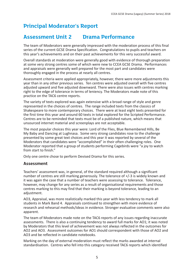# **Principal Moderator's Report**

## **Assessment Unit 2 Drama Performance**

The team of Moderators were generally impressed with the moderation process of this final series of the current GCSE Drama Specification. Congratulations to pupils and teachers on this year's achievements and on their past achievements for this very successful award.

Overall standards at moderation were generally good with evidence of thorough preparation at some very strong centres some of which were new to CCEA GCSE Drama. Performances and appraisals were generally well prepared for the most part and candidates were thoroughly engaged in the process at nearly all centres.

Assessment criteria were applied appropriately, however, there were more adjustments this year than in any other previous series. Ten centres were adjusted overall with five centres adjusted upward and five adjusted downward. There were also issues with centres marking right to the edge of tolerance in terms of leniency. The Moderators made note of this practice on the TAC6 centre reports.

The variety of texts explored was again extensive with a broad range of style and genre represented in the choices of centres. The range included texts from the classics of Shakespeare to more contemporary choices. There were at least eight texts presented for the first time this year and around 60 texts in total explored for the Scripted Performance. Centres are to be reminded that texts must be of a published nature, which means that unsourced internet material and screenplays are not acceptable.

The most popular choices this year were: Lord of the Flies, Blue Remembered Hills, Be My Baby and Dancing at Lughnasa. Some very strong candidates rose to the challenge presented by some great text choices and this year it was reported by several of the Moderators that candidates were "accomplished" in their often challenging roles. One Moderator reported that a group of students performing Cagebirds were "a joy to watch from start to finish."

Only one centre chose to perform Devised Drama for this series.

#### **Assessment**

Teachers' assessment was, in general, of the standard required although a significant number of centres are still marking generously. The tolerance of +/-3 is widely known and it was again the case that a number of teachers were assessing to tolerance. Tolerance, however, may change for any series as a result of organisational requirements and those centres marking to this may find that their marking is beyond tolerance, leading to an adjustment.

AO3, Appraisal, was more realistically marked this year with less tendency to mark all students in Mark Band 4. Appraisals continued to strengthen with more evidence of research and rehearsal methods/ideas in evidence. Stronger evaluative comments were also apparent.

The team of Moderators made note on the TAC6 reports of any issues regarding inaccurate assessments. There is also a continuing tendency to award full marks for AO1; it was noted by Moderators that this level of achievement was not always reflected in the outcomes for AO2 and AO3. Assessment outcomes for AO1 should correspondent with those of AO2 and AO3 and be reflected in candidate notebooks.

Marking on the day of external moderation must reflect the marks awarded at internal standardisation. Centres who fell into this category received TAC6 reports which identified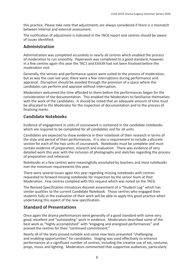this practice. Please take note that adjustments are always considered if there is a mismatch between internal and external assessment.

The notification of adjustment is indicated in the TAC6 report and centres should be aware of issues identified.

#### **Administration**

Administration was completed accurately in nearly all centres which enabled the process of moderation to run smoothly. Paperwork was completed to a good standard, however, in a few centres again this year the TAC1 and EXA39 had not been finalised before the moderation visit.

Generally, the venues and performance spaces were suited to the process of moderation, but as was the case last year, there were a few interruptions during performance and appraisal. Disruption should be avoided through the provision of a space where the candidates can perform and appraise without interruption.

Moderators welcomed the time afforded to them before the performances began for the consideration of the documentation. This enabled the Moderators to familiarise themselves with the work of the candidates. It should be noted that an adequate amount of time must be allocated to the Moderator for the inspection of documentation and to the process of finalising marks.

#### **Candidate Notebooks**

Evidence of engagement in units of coursework is contained in the candidate notebooks which are required to be completed for all candidates and for all units.

Candidates are expected to show evidence in their notebook of their research in terms of the style and period of their performances. It is also a requirement to include a discrete section for each of the two units of coursework. Notebooks must be complete and must contain evidence of preparation, research and evaluation. There was evidence of very detailed work this year with the inclusion of photographs and sketches regarding the process of preparation and rehearsal.

Notebooks at a few centres were meaningfully annotated by teachers and most notebooks met the minimum requirements this year.

There were several issues again this year regarding missing notebooks with centres requested to forward missing notebooks for inspection by the senior team at Post Moderation. Few centres complied with this request which was noted on the TAC6.

The Revised Specification introduces discreet assessment of a "Student Log" which has similar qualities to the current Candidate Notebook. Those centres who engaged their students fully in the evaluation of their work will be able to apply this good practice when undertaking this aspect of the new specification.

#### **Standard of Presentations**

Once again the drama performances were generally of a good standard with some very good, excellent and "outstanding" work in evidence. Moderators described some of the best work as "highly accomplished" with "engaging and energised performances" and praised the centres for their "continued commitment."

Nearly all of the texts proved suitable and some new texts presented "challenging and enabling opportunities" for candidates. Staging was used effectively to enhance performances at a significant number of centres, including the creative use of set, costume, props, music and lighting. Moderators commented that supportive audiences, particularly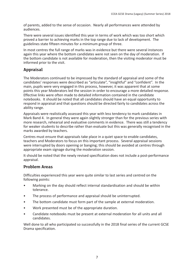of parents, added to the sense of occasion. Nearly all performances were attended by audiences.

There were several issues identified this year in terms of work which was too short which proved a barrier to achieving marks in the top range due to lack of development. The guidelines state fifteen minutes for a minimum group of three.

In most centres the full range of marks was in evidence but there were several instances again this year where the bottom candidates were not seen on the day of moderation. If the bottom candidate is not available for moderation, then the visiting moderator must be informed prior to the visit.

#### **Appraisal**

The Moderators continued to be impressed by the standard of appraisal and some of the candidates' responses were described as "articulate", "insightful" and "confident". In the main, pupils were very engaged in this process, however, it was apparent that at some points this year Moderators led the session in order to encourage a more detailed response. Effective links were often made to detailed information contained in the candidate notebooks. It should be noted that all candidates should have an equal opportunity to respond in appraisal and that questions should be directed fairly to candidates across the ability range.

Appraisals were realistically assessed this year with less tendency to mark candidates in Mark Band 4. In general they were again slightly stronger than for the previous series with more research, rehearsal and evaluative comments in evidence. There was still a tendency for weaker students to describe rather than evaluate but this was generally recognised in the marks awarded by teachers.

Centres must ensure that appraisals take place in a quiet space to enable candidates, teachers and Moderators to focus on this important process. Several appraisal sessions were interrupted by doors opening or banging; this should be avoided at centres through appropriate exam signage during the moderation session.

It should be noted that the newly revised specification does not include a post-performance appraisal.

#### **Problem Areas**

Difficulties experienced this year were quite similar to last series and centred on the following points:

- Marking on the day should reflect internal standardisation and should be within tolerance.
- The process of performance and appraisal should be uninterrupted.
- The bottom candidate must form part of the sample at external moderation.
- Work presented must be of the appropriate duration.
- Candidate notebooks must be present at external moderation for all units and all candidates.

Well done to all who participated so successfully in the 2018 final series of the current GCSE Drama specification.